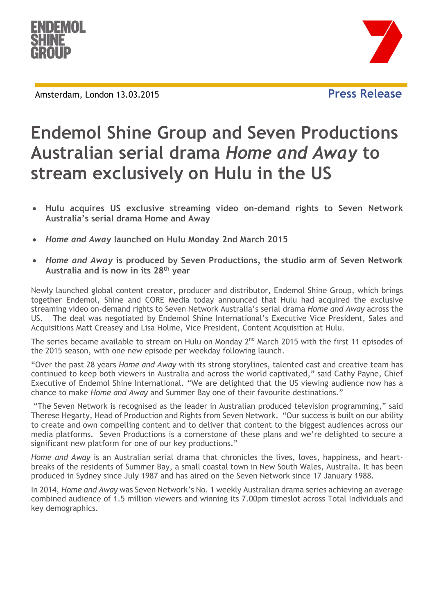

Amsterdam, London 13.03.2015 **Press Release**





## **Endemol Shine Group and Seven Productions Australian serial drama** *Home and Away* **to stream exclusively on Hulu in the US**

- **Hulu acquires US exclusive streaming video on-demand rights to Seven Network Australia's serial drama Home and Away**
- *Home and Away* **launched on Hulu Monday 2nd March 2015**
- *Home and Away* **is produced by Seven Productions, the studio arm of Seven Network Australia and is now in its 28th year**

Newly launched global content creator, producer and distributor, Endemol Shine Group, which brings together Endemol, Shine and CORE Media today announced that Hulu had acquired the exclusive streaming video on-demand rights to Seven Network Australia's serial drama *Home and Away* across the US**.** The deal was negotiated by Endemol Shine International's Executive Vice President, Sales and Acquisitions Matt Creasey and Lisa Holme, Vice President, Content Acquisition at Hulu.

The series became available to stream on Hulu on Monday 2<sup>nd</sup> March 2015 with the first 11 episodes of the 2015 season, with one new episode per weekday following launch.

"Over the past 28 years *Home and Away* with its strong storylines, talented cast and creative team has continued to keep both viewers in Australia and across the world captivated," said Cathy Payne, Chief Executive of Endemol Shine International. "We are delighted that the US viewing audience now has a chance to make *Home and Away* and Summer Bay one of their favourite destinations."

"The Seven Network is recognised as the leader in Australian produced television programming," said Therese Hegarty, Head of Production and Rights from Seven Network. "Our success is built on our ability to create and own compelling content and to deliver that content to the biggest audiences across our media platforms. Seven Productions is a cornerstone of these plans and we're delighted to secure a significant new platform for one of our key productions."

*Home and Away* is an Australian serial drama that chronicles the lives, loves, happiness, and heartbreaks of the residents of Summer Bay, a small coastal town in New South Wales, Australia. It has been produced in Sydney since July 1987 and has aired on the Seven Network since 17 January 1988.

In 2014, *Home and Away* was Seven Network's No. 1 weekly Australian drama series achieving an average combined audience of 1.5 million viewers and winning its 7.00pm timeslot across Total Individuals and key demographics.